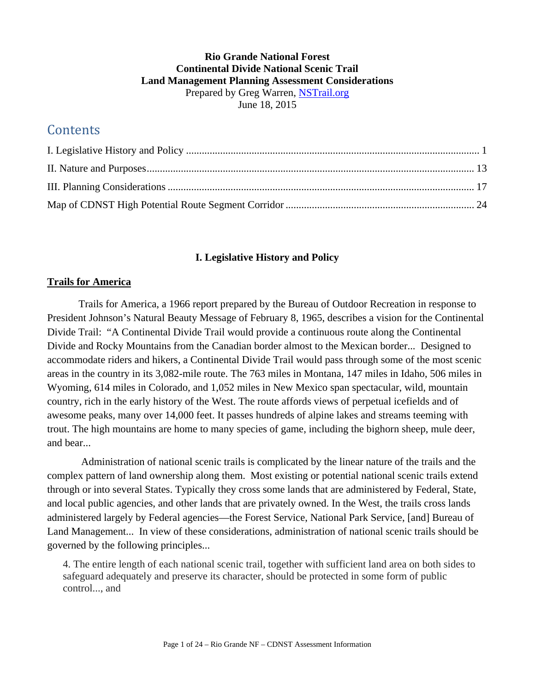### **Rio Grande National Forest Continental Divide National Scenic Trail Land Management Planning Assessment Considerations**  Prepared by Greg Warren, NSTrail.org June 18, 2015

# **Contents**

### **I. Legislative History and Policy**

### **Trails for America**

Trails for America, a 1966 report prepared by the Bureau of Outdoor Recreation in response to President Johnson's Natural Beauty Message of February 8, 1965, describes a vision for the Continental Divide Trail: "A Continental Divide Trail would provide a continuous route along the Continental Divide and Rocky Mountains from the Canadian border almost to the Mexican border... Designed to accommodate riders and hikers, a Continental Divide Trail would pass through some of the most scenic areas in the country in its 3,082-mile route. The 763 miles in Montana, 147 miles in Idaho, 506 miles in Wyoming, 614 miles in Colorado, and 1,052 miles in New Mexico span spectacular, wild, mountain country, rich in the early history of the West. The route affords views of perpetual icefields and of awesome peaks, many over 14,000 feet. It passes hundreds of alpine lakes and streams teeming with trout. The high mountains are home to many species of game, including the bighorn sheep, mule deer, and bear...

 Administration of national scenic trails is complicated by the linear nature of the trails and the complex pattern of land ownership along them. Most existing or potential national scenic trails extend through or into several States. Typically they cross some lands that are administered by Federal, State, and local public agencies, and other lands that are privately owned. In the West, the trails cross lands administered largely by Federal agencies—the Forest Service, National Park Service, [and] Bureau of Land Management... In view of these considerations, administration of national scenic trails should be governed by the following principles...

4. The entire length of each national scenic trail, together with sufficient land area on both sides to safeguard adequately and preserve its character, should be protected in some form of public control..., and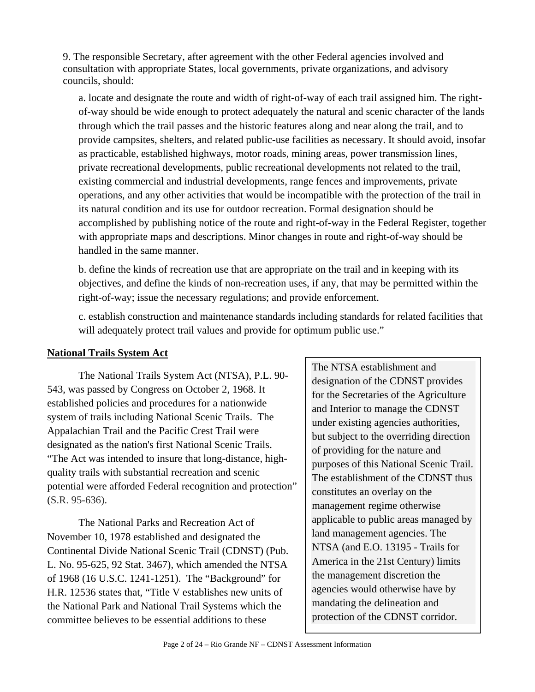9. The responsible Secretary, after agreement with the other Federal agencies involved and consultation with appropriate States, local governments, private organizations, and advisory councils, should:

a. locate and designate the route and width of right-of-way of each trail assigned him. The rightof-way should be wide enough to protect adequately the natural and scenic character of the lands through which the trail passes and the historic features along and near along the trail, and to provide campsites, shelters, and related public-use facilities as necessary. It should avoid, insofar as practicable, established highways, motor roads, mining areas, power transmission lines, private recreational developments, public recreational developments not related to the trail, existing commercial and industrial developments, range fences and improvements, private operations, and any other activities that would be incompatible with the protection of the trail in its natural condition and its use for outdoor recreation. Formal designation should be accomplished by publishing notice of the route and right-of-way in the Federal Register, together with appropriate maps and descriptions. Minor changes in route and right-of-way should be handled in the same manner.

b. define the kinds of recreation use that are appropriate on the trail and in keeping with its objectives, and define the kinds of non-recreation uses, if any, that may be permitted within the right-of-way; issue the necessary regulations; and provide enforcement.

c. establish construction and maintenance standards including standards for related facilities that will adequately protect trail values and provide for optimum public use."

### **National Trails System Act**

The National Trails System Act (NTSA), P.L. 90- 543, was passed by Congress on October 2, 1968. It established policies and procedures for a nationwide system of trails including National Scenic Trails. The Appalachian Trail and the Pacific Crest Trail were designated as the nation's first National Scenic Trails. "The Act was intended to insure that long-distance, highquality trails with substantial recreation and scenic potential were afforded Federal recognition and protection" (S.R. 95-636).

The National Parks and Recreation Act of November 10, 1978 established and designated the Continental Divide National Scenic Trail (CDNST) (Pub. L. No. 95-625, 92 Stat. 3467), which amended the NTSA of 1968 (16 U.S.C. 1241-1251). The "Background" for H.R. 12536 states that, "Title V establishes new units of the National Park and National Trail Systems which the committee believes to be essential additions to these

The NTSA establishment and designation of the CDNST provides for the Secretaries of the Agriculture and Interior to manage the CDNST under existing agencies authorities, but subject to the overriding direction of providing for the nature and purposes of this National Scenic Trail. The establishment of the CDNST thus constitutes an overlay on the management regime otherwise applicable to public areas managed by land management agencies. The NTSA (and E.O. 13195 - Trails for America in the 21st Century) limits the management discretion the agencies would otherwise have by mandating the delineation and protection of the CDNST corridor.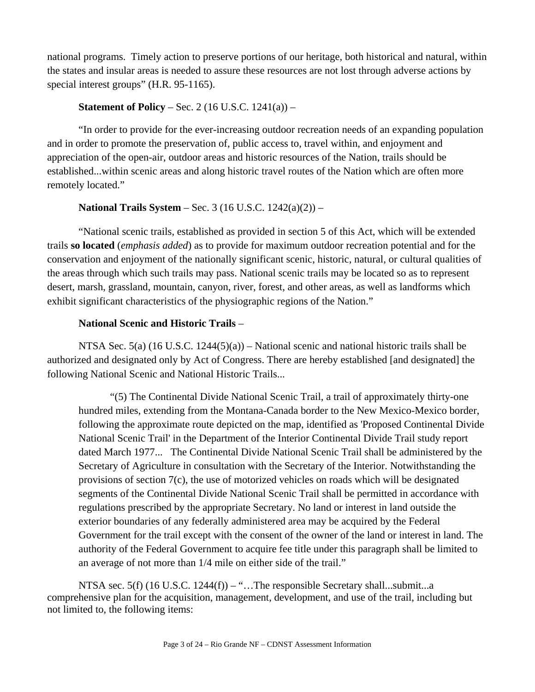national programs. Timely action to preserve portions of our heritage, both historical and natural, within the states and insular areas is needed to assure these resources are not lost through adverse actions by special interest groups" (H.R. 95-1165).

#### **Statement of Policy** – Sec. 2 (16 U.S.C. 1241(a)) –

"In order to provide for the ever-increasing outdoor recreation needs of an expanding population and in order to promote the preservation of, public access to, travel within, and enjoyment and appreciation of the open-air, outdoor areas and historic resources of the Nation, trails should be established...within scenic areas and along historic travel routes of the Nation which are often more remotely located."

#### **National Trails System** – Sec. 3 (16 U.S.C. 1242(a)(2)) –

"National scenic trails, established as provided in section 5 of this Act, which will be extended trails **so located** (*emphasis added*) as to provide for maximum outdoor recreation potential and for the conservation and enjoyment of the nationally significant scenic, historic, natural, or cultural qualities of the areas through which such trails may pass. National scenic trails may be located so as to represent desert, marsh, grassland, mountain, canyon, river, forest, and other areas, as well as landforms which exhibit significant characteristics of the physiographic regions of the Nation."

#### **National Scenic and Historic Trails** –

NTSA Sec.  $5(a)$  (16 U.S.C. 1244( $5(a)$ ) – National scenic and national historic trails shall be authorized and designated only by Act of Congress. There are hereby established [and designated] the following National Scenic and National Historic Trails...

"(5) The Continental Divide National Scenic Trail, a trail of approximately thirty-one hundred miles, extending from the Montana-Canada border to the New Mexico-Mexico border, following the approximate route depicted on the map, identified as 'Proposed Continental Divide National Scenic Trail' in the Department of the Interior Continental Divide Trail study report dated March 1977... The Continental Divide National Scenic Trail shall be administered by the Secretary of Agriculture in consultation with the Secretary of the Interior. Notwithstanding the provisions of section 7(c), the use of motorized vehicles on roads which will be designated segments of the Continental Divide National Scenic Trail shall be permitted in accordance with regulations prescribed by the appropriate Secretary. No land or interest in land outside the exterior boundaries of any federally administered area may be acquired by the Federal Government for the trail except with the consent of the owner of the land or interest in land. The authority of the Federal Government to acquire fee title under this paragraph shall be limited to an average of not more than 1/4 mile on either side of the trail."

NTSA sec. 5(f) (16 U.S.C. 1244(f)) – "...The responsible Secretary shall...submit...a comprehensive plan for the acquisition, management, development, and use of the trail, including but not limited to, the following items: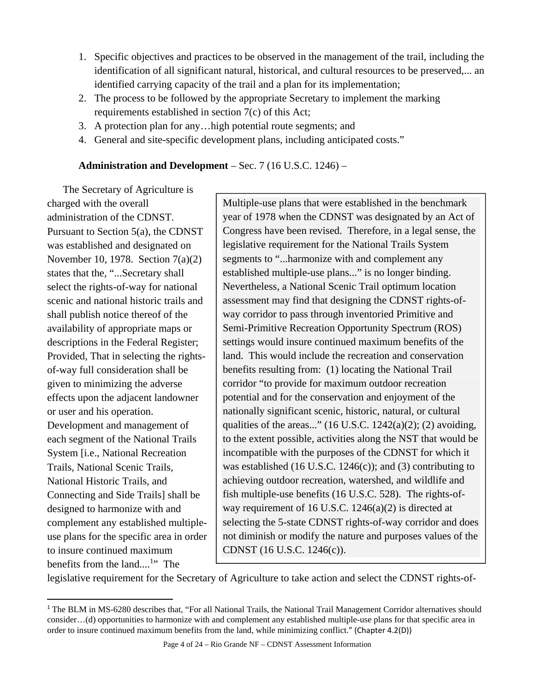- 1. Specific objectives and practices to be observed in the management of the trail, including the identification of all significant natural, historical, and cultural resources to be preserved,... an identified carrying capacity of the trail and a plan for its implementation;
- 2. The process to be followed by the appropriate Secretary to implement the marking requirements established in section 7(c) of this Act;
- 3. A protection plan for any…high potential route segments; and
- 4. General and site-specific development plans, including anticipated costs."

# **Administration and Development** – Sec. 7 (16 U.S.C. 1246) –

The Secretary of Agriculture is charged with the overall administration of the CDNST. Pursuant to Section 5(a), the CDNST was established and designated on November 10, 1978. Section 7(a)(2) states that the, "...Secretary shall select the rights-of-way for national scenic and national historic trails and shall publish notice thereof of the availability of appropriate maps or descriptions in the Federal Register; Provided, That in selecting the rightsof-way full consideration shall be given to minimizing the adverse effects upon the adjacent landowner or user and his operation. Development and management of each segment of the National Trails System [i.e., National Recreation Trails, National Scenic Trails, National Historic Trails, and Connecting and Side Trails] shall be designed to harmonize with and complement any established multipleuse plans for the specific area in order to insure continued maximum benefits from the land....<sup>1</sup>" The

Multiple-use plans that were established in the benchmark year of 1978 when the CDNST was designated by an Act of Congress have been revised. Therefore, in a legal sense, the legislative requirement for the National Trails System segments to "...harmonize with and complement any established multiple-use plans..." is no longer binding. Nevertheless, a National Scenic Trail optimum location assessment may find that designing the CDNST rights-ofway corridor to pass through inventoried Primitive and Semi-Primitive Recreation Opportunity Spectrum (ROS) settings would insure continued maximum benefits of the land. This would include the recreation and conservation benefits resulting from: (1) locating the National Trail corridor "to provide for maximum outdoor recreation potential and for the conservation and enjoyment of the nationally significant scenic, historic, natural, or cultural qualities of the areas..." (16 U.S.C. 1242(a)(2); (2) avoiding, to the extent possible, activities along the NST that would be incompatible with the purposes of the CDNST for which it was established (16 U.S.C. 1246 $(c)$ ); and (3) contributing to achieving outdoor recreation, watershed, and wildlife and fish multiple-use benefits (16 U.S.C. 528). The rights-ofway requirement of 16 U.S.C. 1246(a)(2) is directed at selecting the 5-state CDNST rights-of-way corridor and does not diminish or modify the nature and purposes values of the CDNST (16 U.S.C. 1246(c)).

legislative requirement for the Secretary of Agriculture to take action and select the CDNST rights-of-

<sup>&</sup>lt;sup>1</sup> The BLM in MS-6280 describes that, "For all National Trails, the National Trail Management Corridor alternatives should consider…(d) opportunities to harmonize with and complement any established multiple-use plans for that specific area in order to insure continued maximum benefits from the land, while minimizing conflict." (Chapter 4.2(D))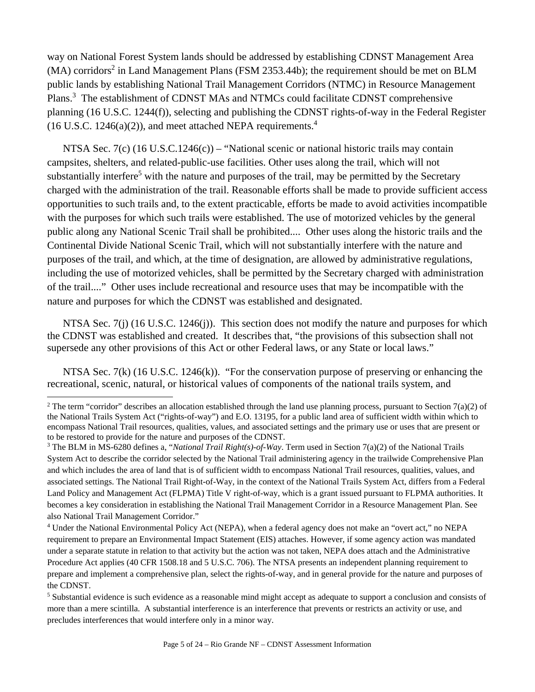way on National Forest System lands should be addressed by establishing CDNST Management Area  $(MA)$  corridors<sup>2</sup> in Land Management Plans (FSM 2353.44b); the requirement should be met on BLM public lands by establishing National Trail Management Corridors (NTMC) in Resource Management Plans.<sup>3</sup> The establishment of CDNST MAs and NTMCs could facilitate CDNST comprehensive planning (16 U.S.C. 1244(f)), selecting and publishing the CDNST rights-of-way in the Federal Register  $(16$  U.S.C. 1246(a)(2)), and meet attached NEPA requirements.<sup>4</sup>

NTSA Sec. 7(c) (16 U.S.C.1246(c)) – "National scenic or national historic trails may contain campsites, shelters, and related-public-use facilities. Other uses along the trail, which will not substantially interfere<sup>5</sup> with the nature and purposes of the trail, may be permitted by the Secretary charged with the administration of the trail. Reasonable efforts shall be made to provide sufficient access opportunities to such trails and, to the extent practicable, efforts be made to avoid activities incompatible with the purposes for which such trails were established. The use of motorized vehicles by the general public along any National Scenic Trail shall be prohibited.... Other uses along the historic trails and the Continental Divide National Scenic Trail, which will not substantially interfere with the nature and purposes of the trail, and which, at the time of designation, are allowed by administrative regulations, including the use of motorized vehicles, shall be permitted by the Secretary charged with administration of the trail...." Other uses include recreational and resource uses that may be incompatible with the nature and purposes for which the CDNST was established and designated.

NTSA Sec. 7(j) (16 U.S.C. 1246(j)). This section does not modify the nature and purposes for which the CDNST was established and created. It describes that, "the provisions of this subsection shall not supersede any other provisions of this Act or other Federal laws, or any State or local laws."

NTSA Sec. 7(k) (16 U.S.C. 1246(k)). "For the conservation purpose of preserving or enhancing the recreational, scenic, natural, or historical values of components of the national trails system, and

<sup>&</sup>lt;sup>2</sup> The term "corridor" describes an allocation established through the land use planning process, pursuant to Section 7(a)(2) of the National Trails System Act ("rights-of-way") and E.O. 13195, for a public land area of sufficient width within which to encompass National Trail resources, qualities, values, and associated settings and the primary use or uses that are present or to be restored to provide for the nature and purposes of the CDNST.

<sup>3</sup> The BLM in MS-6280 defines a, "*National Trail Right(s)-of-Way*. Term used in Section 7(a)(2) of the National Trails System Act to describe the corridor selected by the National Trail administering agency in the trailwide Comprehensive Plan and which includes the area of land that is of sufficient width to encompass National Trail resources, qualities, values, and associated settings. The National Trail Right-of-Way, in the context of the National Trails System Act, differs from a Federal Land Policy and Management Act (FLPMA) Title V right-of-way, which is a grant issued pursuant to FLPMA authorities. It becomes a key consideration in establishing the National Trail Management Corridor in a Resource Management Plan. See also National Trail Management Corridor."

<sup>4</sup> Under the National Environmental Policy Act (NEPA), when a federal agency does not make an "overt act," no NEPA requirement to prepare an Environmental Impact Statement (EIS) attaches. However, if some agency action was mandated under a separate statute in relation to that activity but the action was not taken, NEPA does attach and the Administrative Procedure Act applies (40 CFR 1508.18 and 5 U.S.C. 706). The NTSA presents an independent planning requirement to prepare and implement a comprehensive plan, select the rights-of-way, and in general provide for the nature and purposes of the CDNST.

<sup>&</sup>lt;sup>5</sup> Substantial evidence is such evidence as a reasonable mind might accept as adequate to support a conclusion and consists of more than a mere scintilla. A substantial interference is an interference that prevents or restricts an activity or use, and precludes interferences that would interfere only in a minor way.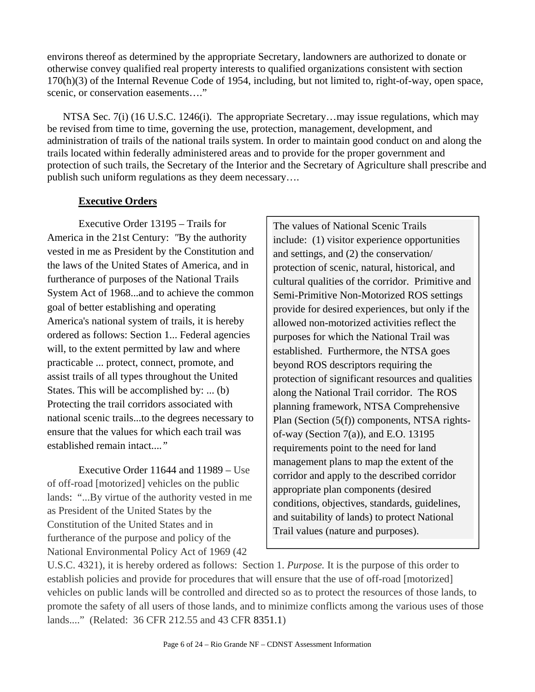environs thereof as determined by the appropriate Secretary, landowners are authorized to donate or otherwise convey qualified real property interests to qualified organizations consistent with section 170(h)(3) of the Internal Revenue Code of 1954, including, but not limited to, right-of-way, open space, scenic, or conservation easements...."

NTSA Sec. 7(i) (16 U.S.C. 1246(i). The appropriate Secretary...may issue regulations, which may be revised from time to time, governing the use, protection, management, development, and administration of trails of the national trails system. In order to maintain good conduct on and along the trails located within federally administered areas and to provide for the proper government and protection of such trails, the Secretary of the Interior and the Secretary of Agriculture shall prescribe and publish such uniform regulations as they deem necessary….

# **Executive Orders**

Executive Order 13195 – Trails for America in the 21st Century: *"*By the authority vested in me as President by the Constitution and the laws of the United States of America, and in furtherance of purposes of the National Trails System Act of 1968...and to achieve the common goal of better establishing and operating America's national system of trails, it is hereby ordered as follows: Section 1... Federal agencies will, to the extent permitted by law and where practicable ... protect, connect, promote, and assist trails of all types throughout the United States. This will be accomplished by: ... (b) Protecting the trail corridors associated with national scenic trails...to the degrees necessary to ensure that the values for which each trail was established remain intact....*"* 

Executive Order 11644 and 11989 – Use of off-road [motorized] vehicles on the public lands: "...By virtue of the authority vested in me as President of the United States by the Constitution of the United States and in furtherance of the purpose and policy of the National Environmental Policy Act of 1969 (42

The values of National Scenic Trails include: (1) visitor experience opportunities and settings, and (2) the conservation/ protection of scenic, natural, historical, and cultural qualities of the corridor. Primitive and Semi-Primitive Non-Motorized ROS settings provide for desired experiences, but only if the allowed non-motorized activities reflect the purposes for which the National Trail was established. Furthermore, the NTSA goes beyond ROS descriptors requiring the protection of significant resources and qualities along the National Trail corridor. The ROS planning framework, NTSA Comprehensive Plan (Section (5(f)) components, NTSA rightsof-way (Section 7(a)), and E.O. 13195 requirements point to the need for land management plans to map the extent of the corridor and apply to the described corridor appropriate plan components (desired conditions, objectives, standards, guidelines, and suitability of lands) to protect National Trail values (nature and purposes).

U.S.C. 4321), it is hereby ordered as follows: Section 1. *Purpose.* It is the purpose of this order to establish policies and provide for procedures that will ensure that the use of off-road [motorized] vehicles on public lands will be controlled and directed so as to protect the resources of those lands, to promote the safety of all users of those lands, and to minimize conflicts among the various uses of those lands...." (Related: 36 CFR 212.55 and 43 CFR 8351.1)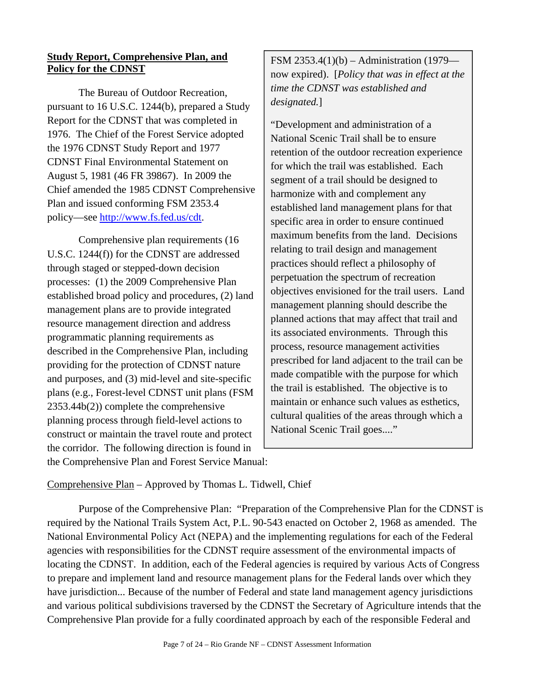### **Study Report, Comprehensive Plan, and Policy for the CDNST**

The Bureau of Outdoor Recreation, pursuant to 16 U.S.C. 1244(b), prepared a Study Report for the CDNST that was completed in 1976. The Chief of the Forest Service adopted the 1976 CDNST Study Report and 1977 CDNST Final Environmental Statement on August 5, 1981 (46 FR 39867). In 2009 the Chief amended the 1985 CDNST Comprehensive Plan and issued conforming FSM 2353.4 policy—see http://www.fs.fed.us/cdt.

Comprehensive plan requirements (16 U.S.C. 1244(f)) for the CDNST are addressed through staged or stepped-down decision processes: (1) the 2009 Comprehensive Plan established broad policy and procedures, (2) land management plans are to provide integrated resource management direction and address programmatic planning requirements as described in the Comprehensive Plan, including providing for the protection of CDNST nature and purposes, and (3) mid-level and site-specific plans (e.g., Forest-level CDNST unit plans (FSM 2353.44b(2)) complete the comprehensive planning process through field-level actions to construct or maintain the travel route and protect the corridor. The following direction is found in the Comprehensive Plan and Forest Service Manual:

FSM 2353.4(1)(b) – Administration (1979 now expired). [*Policy that was in effect at the time the CDNST was established and designated.*]

"Development and administration of a National Scenic Trail shall be to ensure retention of the outdoor recreation experience for which the trail was established. Each segment of a trail should be designed to harmonize with and complement any established land management plans for that specific area in order to ensure continued maximum benefits from the land. Decisions relating to trail design and management practices should reflect a philosophy of perpetuation the spectrum of recreation objectives envisioned for the trail users. Land management planning should describe the planned actions that may affect that trail and its associated environments. Through this process, resource management activities prescribed for land adjacent to the trail can be made compatible with the purpose for which the trail is established. The objective is to maintain or enhance such values as esthetics, cultural qualities of the areas through which a National Scenic Trail goes...."

Comprehensive Plan – Approved by Thomas L. Tidwell, Chief

Purpose of the Comprehensive Plan: "Preparation of the Comprehensive Plan for the CDNST is required by the National Trails System Act, P.L. 90-543 enacted on October 2, 1968 as amended. The National Environmental Policy Act (NEPA) and the implementing regulations for each of the Federal agencies with responsibilities for the CDNST require assessment of the environmental impacts of locating the CDNST. In addition, each of the Federal agencies is required by various Acts of Congress to prepare and implement land and resource management plans for the Federal lands over which they have jurisdiction... Because of the number of Federal and state land management agency jurisdictions and various political subdivisions traversed by the CDNST the Secretary of Agriculture intends that the Comprehensive Plan provide for a fully coordinated approach by each of the responsible Federal and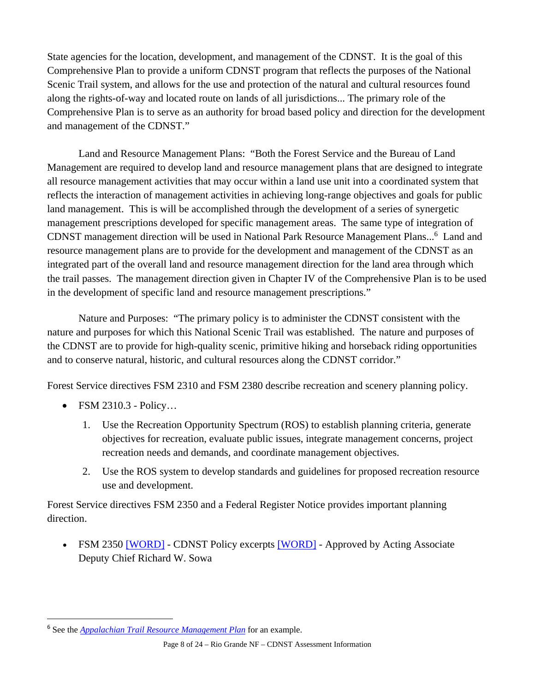State agencies for the location, development, and management of the CDNST. It is the goal of this Comprehensive Plan to provide a uniform CDNST program that reflects the purposes of the National Scenic Trail system, and allows for the use and protection of the natural and cultural resources found along the rights-of-way and located route on lands of all jurisdictions... The primary role of the Comprehensive Plan is to serve as an authority for broad based policy and direction for the development and management of the CDNST."

Land and Resource Management Plans: "Both the Forest Service and the Bureau of Land Management are required to develop land and resource management plans that are designed to integrate all resource management activities that may occur within a land use unit into a coordinated system that reflects the interaction of management activities in achieving long-range objectives and goals for public land management. This is will be accomplished through the development of a series of synergetic management prescriptions developed for specific management areas. The same type of integration of CDNST management direction will be used in National Park Resource Management Plans...<sup>6</sup> Land and resource management plans are to provide for the development and management of the CDNST as an integrated part of the overall land and resource management direction for the land area through which the trail passes. The management direction given in Chapter IV of the Comprehensive Plan is to be used in the development of specific land and resource management prescriptions."

Nature and Purposes: "The primary policy is to administer the CDNST consistent with the nature and purposes for which this National Scenic Trail was established. The nature and purposes of the CDNST are to provide for high-quality scenic, primitive hiking and horseback riding opportunities and to conserve natural, historic, and cultural resources along the CDNST corridor."

Forest Service directives FSM 2310 and FSM 2380 describe recreation and scenery planning policy.

• FSM 2310.3 - Policy...

- 1. Use the Recreation Opportunity Spectrum (ROS) to establish planning criteria, generate objectives for recreation, evaluate public issues, integrate management concerns, project recreation needs and demands, and coordinate management objectives.
- 2. Use the ROS system to develop standards and guidelines for proposed recreation resource use and development.

Forest Service directives FSM 2350 and a Federal Register Notice provides important planning direction.

 FSM 2350 [WORD] - CDNST Policy excerpts [WORD] - Approved by Acting Associate Deputy Chief Richard W. Sowa

<sup>6</sup> See the *Appalachian Trail Resource Management Plan* for an example.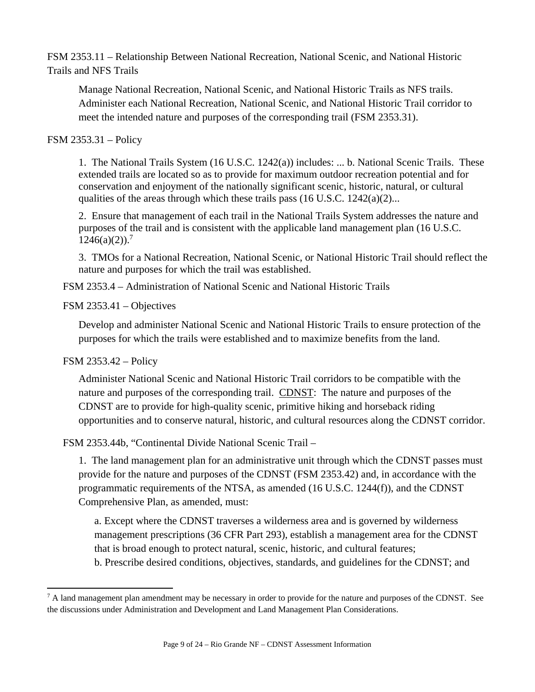FSM 2353.11 – Relationship Between National Recreation, National Scenic, and National Historic Trails and NFS Trails

Manage National Recreation, National Scenic, and National Historic Trails as NFS trails. Administer each National Recreation, National Scenic, and National Historic Trail corridor to meet the intended nature and purposes of the corresponding trail (FSM 2353.31).

### FSM 2353.31 – Policy

1. The National Trails System (16 U.S.C. 1242(a)) includes: ... b. National Scenic Trails. These extended trails are located so as to provide for maximum outdoor recreation potential and for conservation and enjoyment of the nationally significant scenic, historic, natural, or cultural qualities of the areas through which these trails pass  $(16 \text{ U.S.C. } 1242(a)(2)...$ 

2. Ensure that management of each trail in the National Trails System addresses the nature and purposes of the trail and is consistent with the applicable land management plan (16 U.S.C.  $1246(a)(2)$ .<sup>7</sup>

3. TMOs for a National Recreation, National Scenic, or National Historic Trail should reflect the nature and purposes for which the trail was established.

FSM 2353.4 – Administration of National Scenic and National Historic Trails

### FSM 2353.41 – Objectives

Develop and administer National Scenic and National Historic Trails to ensure protection of the purposes for which the trails were established and to maximize benefits from the land.

### FSM 2353.42 – Policy

Administer National Scenic and National Historic Trail corridors to be compatible with the nature and purposes of the corresponding trail. CDNST: The nature and purposes of the CDNST are to provide for high-quality scenic, primitive hiking and horseback riding opportunities and to conserve natural, historic, and cultural resources along the CDNST corridor.

FSM 2353.44b, "Continental Divide National Scenic Trail –

1. The land management plan for an administrative unit through which the CDNST passes must provide for the nature and purposes of the CDNST (FSM 2353.42) and, in accordance with the programmatic requirements of the NTSA, as amended (16 U.S.C. 1244(f)), and the CDNST Comprehensive Plan, as amended, must:

a. Except where the CDNST traverses a wilderness area and is governed by wilderness management prescriptions (36 CFR Part 293), establish a management area for the CDNST that is broad enough to protect natural, scenic, historic, and cultural features; b. Prescribe desired conditions, objectives, standards, and guidelines for the CDNST; and

<sup>&</sup>lt;sup>7</sup> A land management plan amendment may be necessary in order to provide for the nature and purposes of the CDNST. See the discussions under Administration and Development and Land Management Plan Considerations.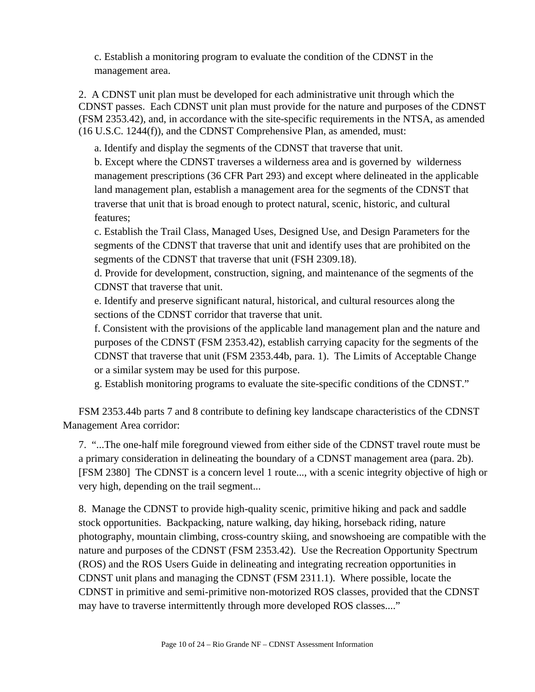c. Establish a monitoring program to evaluate the condition of the CDNST in the management area.

2. A CDNST unit plan must be developed for each administrative unit through which the CDNST passes. Each CDNST unit plan must provide for the nature and purposes of the CDNST (FSM 2353.42), and, in accordance with the site-specific requirements in the NTSA, as amended (16 U.S.C. 1244(f)), and the CDNST Comprehensive Plan, as amended, must:

a. Identify and display the segments of the CDNST that traverse that unit.

b. Except where the CDNST traverses a wilderness area and is governed by wilderness management prescriptions (36 CFR Part 293) and except where delineated in the applicable land management plan, establish a management area for the segments of the CDNST that traverse that unit that is broad enough to protect natural, scenic, historic, and cultural features;

c. Establish the Trail Class, Managed Uses, Designed Use, and Design Parameters for the segments of the CDNST that traverse that unit and identify uses that are prohibited on the segments of the CDNST that traverse that unit (FSH 2309.18).

d. Provide for development, construction, signing, and maintenance of the segments of the CDNST that traverse that unit.

e. Identify and preserve significant natural, historical, and cultural resources along the sections of the CDNST corridor that traverse that unit.

f. Consistent with the provisions of the applicable land management plan and the nature and purposes of the CDNST (FSM 2353.42), establish carrying capacity for the segments of the CDNST that traverse that unit (FSM 2353.44b, para. 1). The Limits of Acceptable Change or a similar system may be used for this purpose.

g. Establish monitoring programs to evaluate the site-specific conditions of the CDNST."

 FSM 2353.44b parts 7 and 8 contribute to defining key landscape characteristics of the CDNST Management Area corridor:

7. "...The one-half mile foreground viewed from either side of the CDNST travel route must be a primary consideration in delineating the boundary of a CDNST management area (para. 2b). [FSM 2380] The CDNST is a concern level 1 route..., with a scenic integrity objective of high or very high, depending on the trail segment...

8. Manage the CDNST to provide high-quality scenic, primitive hiking and pack and saddle stock opportunities. Backpacking, nature walking, day hiking, horseback riding, nature photography, mountain climbing, cross-country skiing, and snowshoeing are compatible with the nature and purposes of the CDNST (FSM 2353.42). Use the Recreation Opportunity Spectrum (ROS) and the ROS Users Guide in delineating and integrating recreation opportunities in CDNST unit plans and managing the CDNST (FSM 2311.1). Where possible, locate the CDNST in primitive and semi-primitive non-motorized ROS classes, provided that the CDNST may have to traverse intermittently through more developed ROS classes...."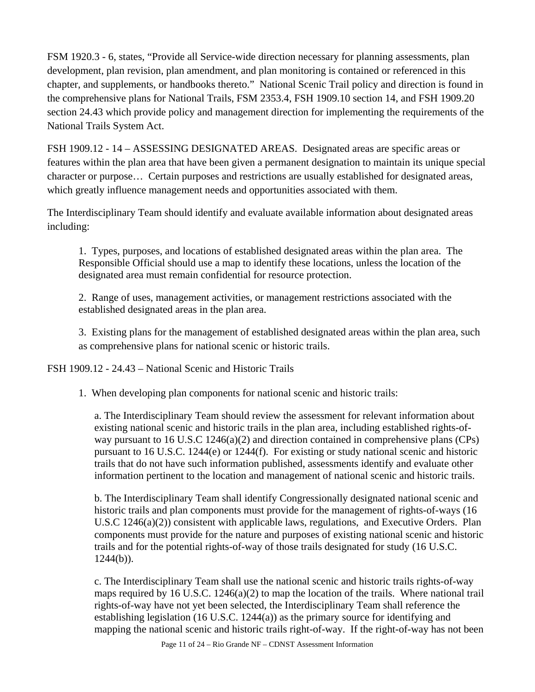FSM 1920.3 - 6, states, "Provide all Service-wide direction necessary for planning assessments, plan development, plan revision, plan amendment, and plan monitoring is contained or referenced in this chapter, and supplements, or handbooks thereto." National Scenic Trail policy and direction is found in the comprehensive plans for National Trails, FSM 2353.4, FSH 1909.10 section 14, and FSH 1909.20 section 24.43 which provide policy and management direction for implementing the requirements of the National Trails System Act.

FSH 1909.12 - 14 – ASSESSING DESIGNATED AREAS. Designated areas are specific areas or features within the plan area that have been given a permanent designation to maintain its unique special character or purpose… Certain purposes and restrictions are usually established for designated areas, which greatly influence management needs and opportunities associated with them.

The Interdisciplinary Team should identify and evaluate available information about designated areas including:

1. Types, purposes, and locations of established designated areas within the plan area. The Responsible Official should use a map to identify these locations, unless the location of the designated area must remain confidential for resource protection.

2. Range of uses, management activities, or management restrictions associated with the established designated areas in the plan area.

3. Existing plans for the management of established designated areas within the plan area, such as comprehensive plans for national scenic or historic trails.

FSH 1909.12 - 24.43 – National Scenic and Historic Trails

1. When developing plan components for national scenic and historic trails:

a. The Interdisciplinary Team should review the assessment for relevant information about existing national scenic and historic trails in the plan area, including established rights-ofway pursuant to 16 U.S.C 1246(a)(2) and direction contained in comprehensive plans (CPs) pursuant to 16 U.S.C. 1244(e) or 1244(f). For existing or study national scenic and historic trails that do not have such information published, assessments identify and evaluate other information pertinent to the location and management of national scenic and historic trails.

b. The Interdisciplinary Team shall identify Congressionally designated national scenic and historic trails and plan components must provide for the management of rights-of-ways (16 U.S.C 1246(a)(2)) consistent with applicable laws, regulations, and Executive Orders. Plan components must provide for the nature and purposes of existing national scenic and historic trails and for the potential rights-of-way of those trails designated for study (16 U.S.C.  $1244(b)$ ).

c. The Interdisciplinary Team shall use the national scenic and historic trails rights-of-way maps required by 16 U.S.C. 1246(a)(2) to map the location of the trails. Where national trail rights-of-way have not yet been selected, the Interdisciplinary Team shall reference the establishing legislation (16 U.S.C. 1244(a)) as the primary source for identifying and mapping the national scenic and historic trails right-of-way. If the right-of-way has not been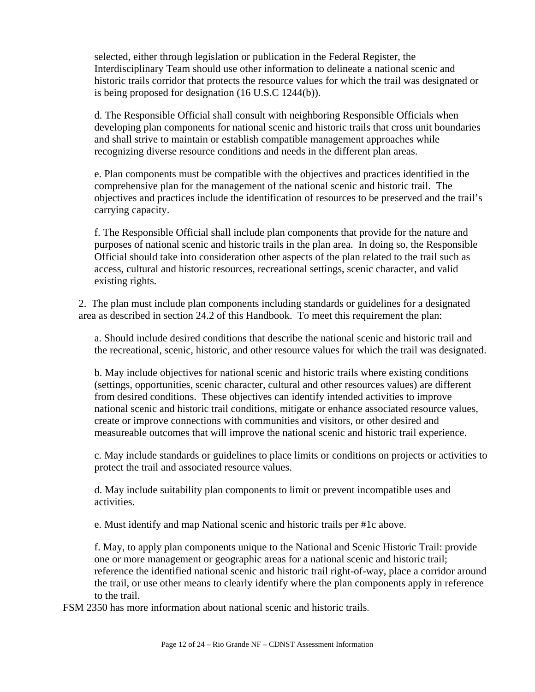selected, either through legislation or publication in the Federal Register, the Interdisciplinary Team should use other information to delineate a national scenic and historic trails corridor that protects the resource values for which the trail was designated or is being proposed for designation (16 U.S.C 1244(b)).

d. The Responsible Official shall consult with neighboring Responsible Officials when developing plan components for national scenic and historic trails that cross unit boundaries and shall strive to maintain or establish compatible management approaches while recognizing diverse resource conditions and needs in the different plan areas.

e. Plan components must be compatible with the objectives and practices identified in the comprehensive plan for the management of the national scenic and historic trail. The objectives and practices include the identification of resources to be preserved and the trail's carrying capacity.

f. The Responsible Official shall include plan components that provide for the nature and purposes of national scenic and historic trails in the plan area. In doing so, the Responsible Official should take into consideration other aspects of the plan related to the trail such as access, cultural and historic resources, recreational settings, scenic character, and valid existing rights.

2. The plan must include plan components including standards or guidelines for a designated area as described in section 24.2 of this Handbook. To meet this requirement the plan:

a. Should include desired conditions that describe the national scenic and historic trail and the recreational, scenic, historic, and other resource values for which the trail was designated.

b. May include objectives for national scenic and historic trails where existing conditions (settings, opportunities, scenic character, cultural and other resources values) are different from desired conditions. These objectives can identify intended activities to improve national scenic and historic trail conditions, mitigate or enhance associated resource values, create or improve connections with communities and visitors, or other desired and measureable outcomes that will improve the national scenic and historic trail experience.

c. May include standards or guidelines to place limits or conditions on projects or activities to protect the trail and associated resource values.

d. May include suitability plan components to limit or prevent incompatible uses and activities.

e. Must identify and map National scenic and historic trails per #1c above.

f. May, to apply plan components unique to the National and Scenic Historic Trail: provide one or more management or geographic areas for a national scenic and historic trail; reference the identified national scenic and historic trail right-of-way, place a corridor around the trail, or use other means to clearly identify where the plan components apply in reference to the trail.

FSM 2350 has more information about national scenic and historic trails.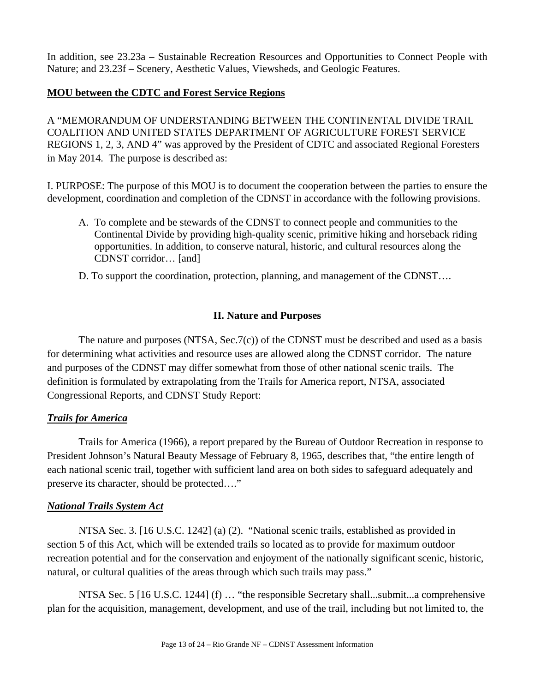In addition, see 23.23a – Sustainable Recreation Resources and Opportunities to Connect People with Nature; and 23.23f – Scenery, Aesthetic Values, Viewsheds, and Geologic Features.

### **MOU between the CDTC and Forest Service Regions**

A "MEMORANDUM OF UNDERSTANDING BETWEEN THE CONTINENTAL DIVIDE TRAIL COALITION AND UNITED STATES DEPARTMENT OF AGRICULTURE FOREST SERVICE REGIONS 1, 2, 3, AND 4" was approved by the President of CDTC and associated Regional Foresters in May 2014. The purpose is described as:

I. PURPOSE: The purpose of this MOU is to document the cooperation between the parties to ensure the development, coordination and completion of the CDNST in accordance with the following provisions.

- A. To complete and be stewards of the CDNST to connect people and communities to the Continental Divide by providing high-quality scenic, primitive hiking and horseback riding opportunities. In addition, to conserve natural, historic, and cultural resources along the CDNST corridor… [and]
- D. To support the coordination, protection, planning, and management of the CDNST….

### **II. Nature and Purposes**

The nature and purposes  $(NTSA, Sec.7(c))$  of the CDNST must be described and used as a basis for determining what activities and resource uses are allowed along the CDNST corridor. The nature and purposes of the CDNST may differ somewhat from those of other national scenic trails. The definition is formulated by extrapolating from the Trails for America report, NTSA, associated Congressional Reports, and CDNST Study Report:

#### *Trails for America*

Trails for America (1966), a report prepared by the Bureau of Outdoor Recreation in response to President Johnson's Natural Beauty Message of February 8, 1965, describes that, "the entire length of each national scenic trail, together with sufficient land area on both sides to safeguard adequately and preserve its character, should be protected…."

#### *National Trails System Act*

NTSA Sec. 3. [16 U.S.C. 1242] (a) (2). "National scenic trails, established as provided in section 5 of this Act, which will be extended trails so located as to provide for maximum outdoor recreation potential and for the conservation and enjoyment of the nationally significant scenic, historic, natural, or cultural qualities of the areas through which such trails may pass."

NTSA Sec. 5 [16 U.S.C. 1244] (f) … "the responsible Secretary shall...submit...a comprehensive plan for the acquisition, management, development, and use of the trail, including but not limited to, the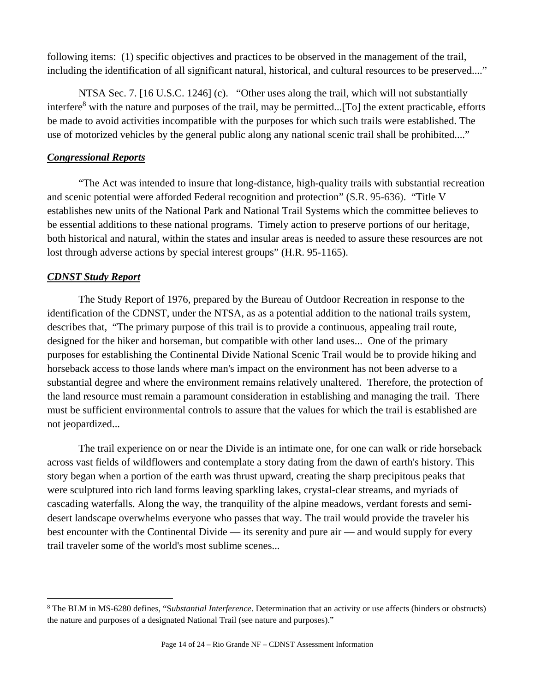following items: (1) specific objectives and practices to be observed in the management of the trail, including the identification of all significant natural, historical, and cultural resources to be preserved...."

NTSA Sec. 7. [16 U.S.C. 1246] (c). "Other uses along the trail, which will not substantially interfere<sup>8</sup> with the nature and purposes of the trail, may be permitted...[To] the extent practicable, efforts be made to avoid activities incompatible with the purposes for which such trails were established. The use of motorized vehicles by the general public along any national scenic trail shall be prohibited...."

### *Congressional Reports*

"The Act was intended to insure that long-distance, high-quality trails with substantial recreation and scenic potential were afforded Federal recognition and protection" (S.R. 95-636). "Title V establishes new units of the National Park and National Trail Systems which the committee believes to be essential additions to these national programs. Timely action to preserve portions of our heritage, both historical and natural, within the states and insular areas is needed to assure these resources are not lost through adverse actions by special interest groups" (H.R. 95-1165).

### *CDNST Study Report*

The Study Report of 1976, prepared by the Bureau of Outdoor Recreation in response to the identification of the CDNST, under the NTSA, as as a potential addition to the national trails system, describes that, "The primary purpose of this trail is to provide a continuous, appealing trail route, designed for the hiker and horseman, but compatible with other land uses... One of the primary purposes for establishing the Continental Divide National Scenic Trail would be to provide hiking and horseback access to those lands where man's impact on the environment has not been adverse to a substantial degree and where the environment remains relatively unaltered. Therefore, the protection of the land resource must remain a paramount consideration in establishing and managing the trail. There must be sufficient environmental controls to assure that the values for which the trail is established are not jeopardized...

The trail experience on or near the Divide is an intimate one, for one can walk or ride horseback across vast fields of wildflowers and contemplate a story dating from the dawn of earth's history. This story began when a portion of the earth was thrust upward, creating the sharp precipitous peaks that were sculptured into rich land forms leaving sparkling lakes, crystal-clear streams, and myriads of cascading waterfalls. Along the way, the tranquility of the alpine meadows, verdant forests and semidesert landscape overwhelms everyone who passes that way. The trail would provide the traveler his best encounter with the Continental Divide — its serenity and pure air — and would supply for every trail traveler some of the world's most sublime scenes...

<sup>8</sup> The BLM in MS-6280 defines, "S*ubstantial Interference*. Determination that an activity or use affects (hinders or obstructs) the nature and purposes of a designated National Trail (see nature and purposes)."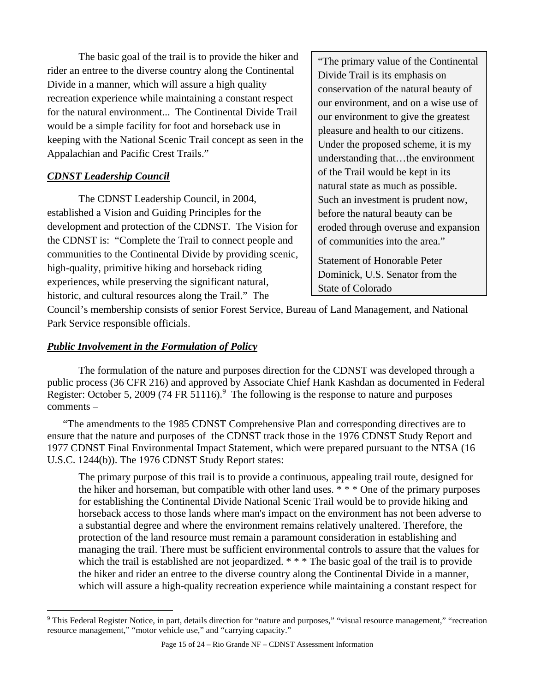The basic goal of the trail is to provide the hiker and rider an entree to the diverse country along the Continental Divide in a manner, which will assure a high quality recreation experience while maintaining a constant respect for the natural environment... The Continental Divide Trail would be a simple facility for foot and horseback use in keeping with the National Scenic Trail concept as seen in the Appalachian and Pacific Crest Trails."

# *CDNST Leadership Council*

 The CDNST Leadership Council, in 2004, established a Vision and Guiding Principles for the development and protection of the CDNST. The Vision for the CDNST is: "Complete the Trail to connect people and communities to the Continental Divide by providing scenic, high-quality, primitive hiking and horseback riding experiences, while preserving the significant natural, historic, and cultural resources along the Trail." The

"The primary value of the Continental Divide Trail is its emphasis on conservation of the natural beauty of our environment, and on a wise use of our environment to give the greatest pleasure and health to our citizens. Under the proposed scheme, it is my understanding that…the environment of the Trail would be kept in its natural state as much as possible. Such an investment is prudent now, before the natural beauty can be eroded through overuse and expansion of communities into the area."

Statement of Honorable Peter Dominick, U.S. Senator from the State of Colorado

Council's membership consists of senior Forest Service, Bureau of Land Management, and National Park Service responsible officials.

### *Public Involvement in the Formulation of Policy*

The formulation of the nature and purposes direction for the CDNST was developed through a public process (36 CFR 216) and approved by Associate Chief Hank Kashdan as documented in Federal Register: October 5, 2009 (74 FR 51116).<sup>9</sup> The following is the response to nature and purposes comments –

"The amendments to the 1985 CDNST Comprehensive Plan and corresponding directives are to ensure that the nature and purposes of the CDNST track those in the 1976 CDNST Study Report and 1977 CDNST Final Environmental Impact Statement, which were prepared pursuant to the NTSA (16 U.S.C. 1244(b)). The 1976 CDNST Study Report states:

The primary purpose of this trail is to provide a continuous, appealing trail route, designed for the hiker and horseman, but compatible with other land uses. \* \* \* One of the primary purposes for establishing the Continental Divide National Scenic Trail would be to provide hiking and horseback access to those lands where man's impact on the environment has not been adverse to a substantial degree and where the environment remains relatively unaltered. Therefore, the protection of the land resource must remain a paramount consideration in establishing and managing the trail. There must be sufficient environmental controls to assure that the values for which the trail is established are not jeopardized. \* \* \* The basic goal of the trail is to provide the hiker and rider an entree to the diverse country along the Continental Divide in a manner, which will assure a high-quality recreation experience while maintaining a constant respect for

 <sup>9</sup> This Federal Register Notice, in part, details direction for "nature and purposes," "visual resource management," "recreation resource management," "motor vehicle use," and "carrying capacity."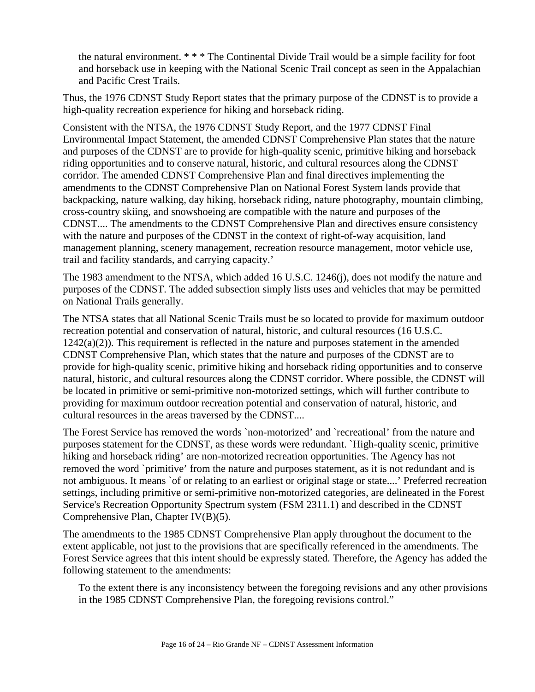the natural environment. \* \* \* The Continental Divide Trail would be a simple facility for foot and horseback use in keeping with the National Scenic Trail concept as seen in the Appalachian and Pacific Crest Trails.

Thus, the 1976 CDNST Study Report states that the primary purpose of the CDNST is to provide a high-quality recreation experience for hiking and horseback riding.

Consistent with the NTSA, the 1976 CDNST Study Report, and the 1977 CDNST Final Environmental Impact Statement, the amended CDNST Comprehensive Plan states that the nature and purposes of the CDNST are to provide for high-quality scenic, primitive hiking and horseback riding opportunities and to conserve natural, historic, and cultural resources along the CDNST corridor. The amended CDNST Comprehensive Plan and final directives implementing the amendments to the CDNST Comprehensive Plan on National Forest System lands provide that backpacking, nature walking, day hiking, horseback riding, nature photography, mountain climbing, cross-country skiing, and snowshoeing are compatible with the nature and purposes of the CDNST.... The amendments to the CDNST Comprehensive Plan and directives ensure consistency with the nature and purposes of the CDNST in the context of right-of-way acquisition, land management planning, scenery management, recreation resource management, motor vehicle use, trail and facility standards, and carrying capacity.'

The 1983 amendment to the NTSA, which added 16 U.S.C. 1246(j), does not modify the nature and purposes of the CDNST. The added subsection simply lists uses and vehicles that may be permitted on National Trails generally.

The NTSA states that all National Scenic Trails must be so located to provide for maximum outdoor recreation potential and conservation of natural, historic, and cultural resources (16 U.S.C.  $1242(a)(2)$ ). This requirement is reflected in the nature and purposes statement in the amended CDNST Comprehensive Plan, which states that the nature and purposes of the CDNST are to provide for high-quality scenic, primitive hiking and horseback riding opportunities and to conserve natural, historic, and cultural resources along the CDNST corridor. Where possible, the CDNST will be located in primitive or semi-primitive non-motorized settings, which will further contribute to providing for maximum outdoor recreation potential and conservation of natural, historic, and cultural resources in the areas traversed by the CDNST....

The Forest Service has removed the words `non-motorized' and `recreational' from the nature and purposes statement for the CDNST, as these words were redundant. `High-quality scenic, primitive hiking and horseback riding' are non-motorized recreation opportunities. The Agency has not removed the word `primitive' from the nature and purposes statement, as it is not redundant and is not ambiguous. It means `of or relating to an earliest or original stage or state....' Preferred recreation settings, including primitive or semi-primitive non-motorized categories, are delineated in the Forest Service's Recreation Opportunity Spectrum system (FSM 2311.1) and described in the CDNST Comprehensive Plan, Chapter IV(B)(5).

The amendments to the 1985 CDNST Comprehensive Plan apply throughout the document to the extent applicable, not just to the provisions that are specifically referenced in the amendments. The Forest Service agrees that this intent should be expressly stated. Therefore, the Agency has added the following statement to the amendments:

To the extent there is any inconsistency between the foregoing revisions and any other provisions in the 1985 CDNST Comprehensive Plan, the foregoing revisions control."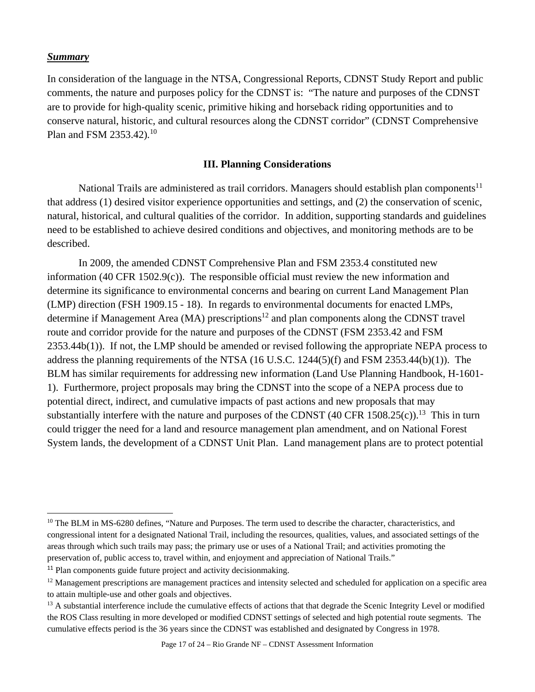#### *Summary*

In consideration of the language in the NTSA, Congressional Reports, CDNST Study Report and public comments, the nature and purposes policy for the CDNST is: "The nature and purposes of the CDNST are to provide for high-quality scenic, primitive hiking and horseback riding opportunities and to conserve natural, historic, and cultural resources along the CDNST corridor" (CDNST Comprehensive Plan and FSM 2353.42)*.* 10

#### **III. Planning Considerations**

National Trails are administered as trail corridors. Managers should establish plan components<sup>11</sup> that address (1) desired visitor experience opportunities and settings, and (2) the conservation of scenic, natural, historical, and cultural qualities of the corridor. In addition, supporting standards and guidelines need to be established to achieve desired conditions and objectives, and monitoring methods are to be described.

In 2009, the amended CDNST Comprehensive Plan and FSM 2353.4 constituted new information (40 CFR 1502.9(c)). The responsible official must review the new information and determine its significance to environmental concerns and bearing on current Land Management Plan (LMP) direction (FSH 1909.15 - 18). In regards to environmental documents for enacted LMPs, determine if Management Area (MA) prescriptions<sup>12</sup> and plan components along the CDNST travel route and corridor provide for the nature and purposes of the CDNST (FSM 2353.42 and FSM 2353.44b(1)). If not, the LMP should be amended or revised following the appropriate NEPA process to address the planning requirements of the NTSA (16 U.S.C. 1244(5)(f) and FSM 2353.44(b)(1)). The BLM has similar requirements for addressing new information (Land Use Planning Handbook, H-1601- 1). Furthermore, project proposals may bring the CDNST into the scope of a NEPA process due to potential direct, indirect, and cumulative impacts of past actions and new proposals that may substantially interfere with the nature and purposes of the CDNST  $(40 \text{ CFR } 1508.25(c))$ .<sup>13</sup> This in turn could trigger the need for a land and resource management plan amendment, and on National Forest System lands, the development of a CDNST Unit Plan. Land management plans are to protect potential

<sup>&</sup>lt;sup>10</sup> The BLM in MS-6280 defines, "Nature and Purposes. The term used to describe the character, characteristics, and congressional intent for a designated National Trail, including the resources, qualities, values, and associated settings of the areas through which such trails may pass; the primary use or uses of a National Trail; and activities promoting the preservation of, public access to, travel within, and enjoyment and appreciation of National Trails."

<sup>&</sup>lt;sup>11</sup> Plan components guide future project and activity decisionmaking.

<sup>&</sup>lt;sup>12</sup> Management prescriptions are management practices and intensity selected and scheduled for application on a specific area to attain multiple-use and other goals and objectives.

<sup>&</sup>lt;sup>13</sup> A substantial interference include the cumulative effects of actions that that degrade the Scenic Integrity Level or modified the ROS Class resulting in more developed or modified CDNST settings of selected and high potential route segments. The cumulative effects period is the 36 years since the CDNST was established and designated by Congress in 1978.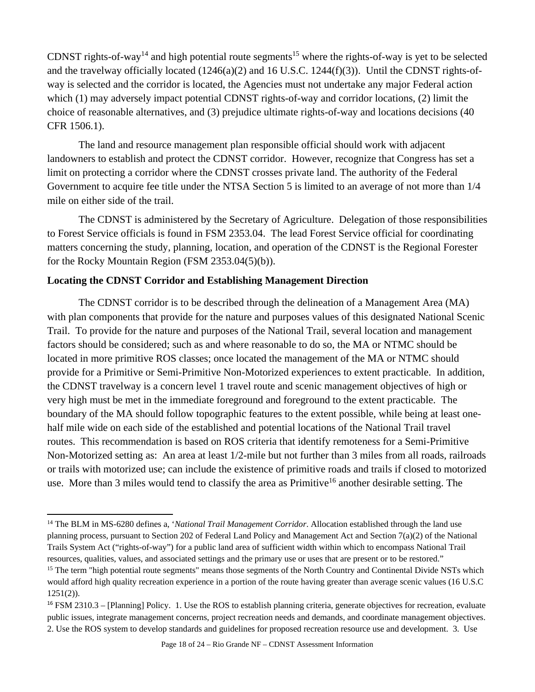CDNST rights-of-way<sup>14</sup> and high potential route segments<sup>15</sup> where the rights-of-way is yet to be selected and the travelway officially located (1246(a)(2) and 16 U.S.C. 1244(f)(3)). Until the CDNST rights-ofway is selected and the corridor is located, the Agencies must not undertake any major Federal action which (1) may adversely impact potential CDNST rights-of-way and corridor locations, (2) limit the choice of reasonable alternatives, and (3) prejudice ultimate rights-of-way and locations decisions (40 CFR 1506.1).

The land and resource management plan responsible official should work with adjacent landowners to establish and protect the CDNST corridor. However, recognize that Congress has set a limit on protecting a corridor where the CDNST crosses private land. The authority of the Federal Government to acquire fee title under the NTSA Section 5 is limited to an average of not more than 1/4 mile on either side of the trail.

The CDNST is administered by the Secretary of Agriculture. Delegation of those responsibilities to Forest Service officials is found in FSM 2353.04. The lead Forest Service official for coordinating matters concerning the study, planning, location, and operation of the CDNST is the Regional Forester for the Rocky Mountain Region (FSM 2353.04(5)(b)).

### **Locating the CDNST Corridor and Establishing Management Direction**

The CDNST corridor is to be described through the delineation of a Management Area (MA) with plan components that provide for the nature and purposes values of this designated National Scenic Trail. To provide for the nature and purposes of the National Trail, several location and management factors should be considered; such as and where reasonable to do so, the MA or NTMC should be located in more primitive ROS classes; once located the management of the MA or NTMC should provide for a Primitive or Semi-Primitive Non-Motorized experiences to extent practicable. In addition, the CDNST travelway is a concern level 1 travel route and scenic management objectives of high or very high must be met in the immediate foreground and foreground to the extent practicable. The boundary of the MA should follow topographic features to the extent possible, while being at least onehalf mile wide on each side of the established and potential locations of the National Trail travel routes. This recommendation is based on ROS criteria that identify remoteness for a Semi-Primitive Non-Motorized setting as: An area at least 1/2-mile but not further than 3 miles from all roads, railroads or trails with motorized use; can include the existence of primitive roads and trails if closed to motorized use. More than 3 miles would tend to classify the area as Primitive<sup>16</sup> another desirable setting. The

<sup>&</sup>lt;sup>14</sup> The BLM in MS-6280 defines a, *'National Trail Management Corridor*. Allocation established through the land use planning process, pursuant to Section 202 of Federal Land Policy and Management Act and Section 7(a)(2) of the National Trails System Act ("rights-of-way") for a public land area of sufficient width within which to encompass National Trail resources, qualities, values, and associated settings and the primary use or uses that are present or to be restored."<br><sup>15</sup> The term "high potential route segments" means those segments of the North Country and Continental

would afford high quality recreation experience in a portion of the route having greater than average scenic values (16 U.S.C 1251(2)).

<sup>&</sup>lt;sup>16</sup> FSM 2310.3 – [Planning] Policy. 1. Use the ROS to establish planning criteria, generate objectives for recreation, evaluate public issues, integrate management concerns, project recreation needs and demands, and coordinate management objectives. 2. Use the ROS system to develop standards and guidelines for proposed recreation resource use and development. 3. Use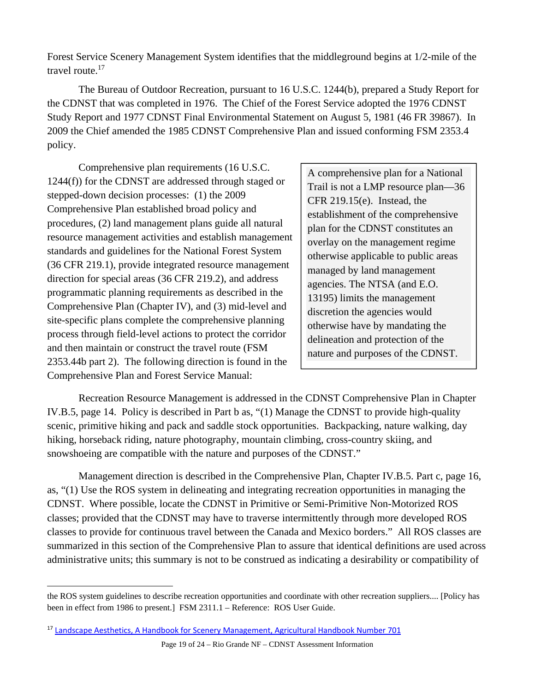Forest Service Scenery Management System identifies that the middleground begins at 1/2-mile of the travel route.<sup>17</sup>

 The Bureau of Outdoor Recreation, pursuant to 16 U.S.C. 1244(b), prepared a Study Report for the CDNST that was completed in 1976. The Chief of the Forest Service adopted the 1976 CDNST Study Report and 1977 CDNST Final Environmental Statement on August 5, 1981 (46 FR 39867). In 2009 the Chief amended the 1985 CDNST Comprehensive Plan and issued conforming FSM 2353.4 policy.

 Comprehensive plan requirements (16 U.S.C. 1244(f)) for the CDNST are addressed through staged or stepped-down decision processes: (1) the 2009 Comprehensive Plan established broad policy and procedures, (2) land management plans guide all natural resource management activities and establish management standards and guidelines for the National Forest System (36 CFR 219.1), provide integrated resource management direction for special areas (36 CFR 219.2), and address programmatic planning requirements as described in the Comprehensive Plan (Chapter IV), and (3) mid-level and site-specific plans complete the comprehensive planning process through field-level actions to protect the corridor and then maintain or construct the travel route (FSM 2353.44b part 2). The following direction is found in the Comprehensive Plan and Forest Service Manual:

A comprehensive plan for a National Trail is not a LMP resource plan—36 CFR 219.15(e). Instead, the establishment of the comprehensive plan for the CDNST constitutes an overlay on the management regime otherwise applicable to public areas managed by land management agencies. The NTSA (and E.O. 13195) limits the management discretion the agencies would otherwise have by mandating the delineation and protection of the nature and purposes of the CDNST.

 Recreation Resource Management is addressed in the CDNST Comprehensive Plan in Chapter IV.B.5, page 14. Policy is described in Part b as, "(1) Manage the CDNST to provide high-quality scenic, primitive hiking and pack and saddle stock opportunities. Backpacking, nature walking, day hiking, horseback riding, nature photography, mountain climbing, cross-country skiing, and snowshoeing are compatible with the nature and purposes of the CDNST."

Management direction is described in the Comprehensive Plan, Chapter IV.B.5. Part c, page 16, as, "(1) Use the ROS system in delineating and integrating recreation opportunities in managing the CDNST. Where possible, locate the CDNST in Primitive or Semi-Primitive Non-Motorized ROS classes; provided that the CDNST may have to traverse intermittently through more developed ROS classes to provide for continuous travel between the Canada and Mexico borders." All ROS classes are summarized in this section of the Comprehensive Plan to assure that identical definitions are used across administrative units; this summary is not to be construed as indicating a desirability or compatibility of

 the ROS system guidelines to describe recreation opportunities and coordinate with other recreation suppliers.... [Policy has been in effect from 1986 to present.] FSM 2311.1 – Reference: ROS User Guide.

<sup>&</sup>lt;sup>17</sup> Landscape Aesthetics, A Handbook for Scenery Management, Agricultural Handbook Number 701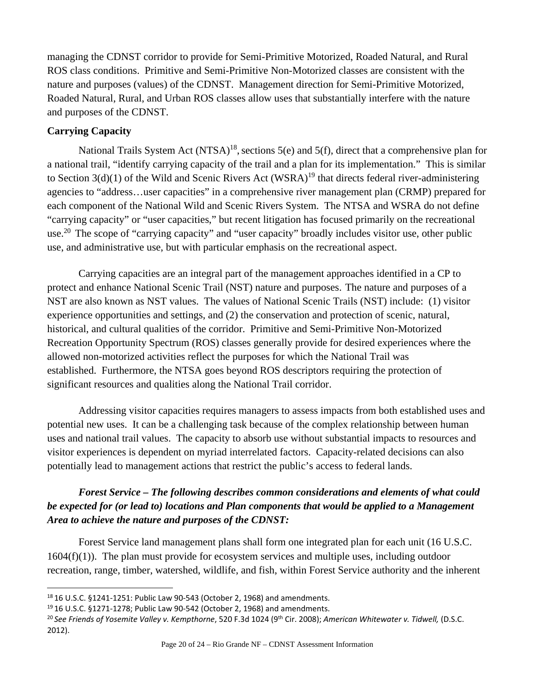managing the CDNST corridor to provide for Semi-Primitive Motorized, Roaded Natural, and Rural ROS class conditions. Primitive and Semi-Primitive Non-Motorized classes are consistent with the nature and purposes (values) of the CDNST. Management direction for Semi-Primitive Motorized, Roaded Natural, Rural, and Urban ROS classes allow uses that substantially interfere with the nature and purposes of the CDNST.

### **Carrying Capacity**

National Trails System Act  $(NTSA)^{18}$ , sections 5(e) and 5(f), direct that a comprehensive plan for a national trail, "identify carrying capacity of the trail and a plan for its implementation." This is similar to Section  $3(d)(1)$  of the Wild and Scenic Rivers Act (WSRA)<sup>19</sup> that directs federal river-administering agencies to "address…user capacities" in a comprehensive river management plan (CRMP) prepared for each component of the National Wild and Scenic Rivers System. The NTSA and WSRA do not define "carrying capacity" or "user capacities," but recent litigation has focused primarily on the recreational use.<sup>20</sup> The scope of "carrying capacity" and "user capacity" broadly includes visitor use, other public use, and administrative use, but with particular emphasis on the recreational aspect.

 Carrying capacities are an integral part of the management approaches identified in a CP to protect and enhance National Scenic Trail (NST) nature and purposes. The nature and purposes of a NST are also known as NST values. The values of National Scenic Trails (NST) include: (1) visitor experience opportunities and settings, and (2) the conservation and protection of scenic, natural, historical, and cultural qualities of the corridor. Primitive and Semi-Primitive Non-Motorized Recreation Opportunity Spectrum (ROS) classes generally provide for desired experiences where the allowed non-motorized activities reflect the purposes for which the National Trail was established. Furthermore, the NTSA goes beyond ROS descriptors requiring the protection of significant resources and qualities along the National Trail corridor.

 Addressing visitor capacities requires managers to assess impacts from both established uses and potential new uses. It can be a challenging task because of the complex relationship between human uses and national trail values. The capacity to absorb use without substantial impacts to resources and visitor experiences is dependent on myriad interrelated factors. Capacity-related decisions can also potentially lead to management actions that restrict the public's access to federal lands.

# *Forest Service – The following describes common considerations and elements of what could be expected for (or lead to) locations and Plan components that would be applied to a Management Area to achieve the nature and purposes of the CDNST:*

Forest Service land management plans shall form one integrated plan for each unit (16 U.S.C.  $1604(f)(1)$ ). The plan must provide for ecosystem services and multiple uses, including outdoor recreation, range, timber, watershed, wildlife, and fish, within Forest Service authority and the inherent

<sup>18 16</sup> U.S.C. §1241-1251: Public Law 90-543 (October 2, 1968) and amendments.

<sup>19</sup> 16 U.S.C. §1271‐1278; Public Law 90‐542 (October 2, 1968) and amendments.

<sup>20</sup> *See Friends of Yosemite Valley v. Kempthorne*, 520 F.3d 1024 (9th Cir. 2008); *American Whitewater v. Tidwell,* (D.S.C. 2012).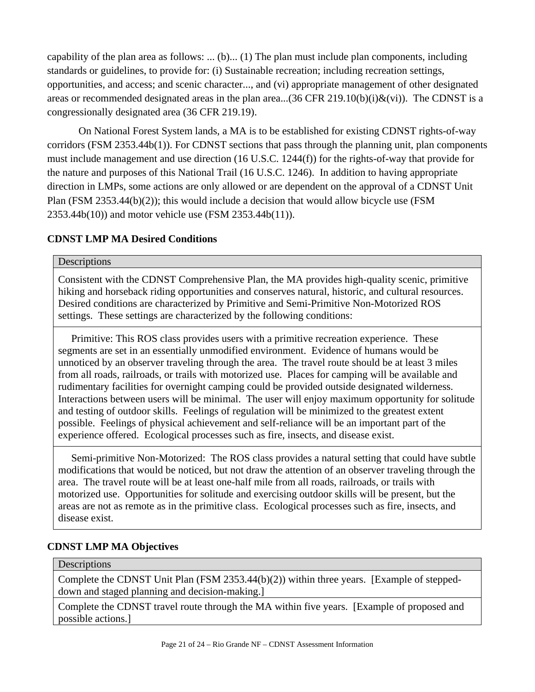capability of the plan area as follows: ... (b)... (1) The plan must include plan components, including standards or guidelines, to provide for: (i) Sustainable recreation; including recreation settings, opportunities, and access; and scenic character..., and (vi) appropriate management of other designated areas or recommended designated areas in the plan area...(36 CFR 219.10(b)(i) $\&$ (vi)). The CDNST is a congressionally designated area (36 CFR 219.19).

On National Forest System lands, a MA is to be established for existing CDNST rights-of-way corridors (FSM 2353.44b(1)). For CDNST sections that pass through the planning unit, plan components must include management and use direction (16 U.S.C. 1244(f)) for the rights-of-way that provide for the nature and purposes of this National Trail (16 U.S.C. 1246). In addition to having appropriate direction in LMPs, some actions are only allowed or are dependent on the approval of a CDNST Unit Plan (FSM 2353.44(b)(2)); this would include a decision that would allow bicycle use (FSM 2353.44b(10)) and motor vehicle use (FSM 2353.44b(11)).

### **CDNST LMP MA Desired Conditions**

#### **Descriptions**

Consistent with the CDNST Comprehensive Plan, the MA provides high-quality scenic, primitive hiking and horseback riding opportunities and conserves natural, historic, and cultural resources. Desired conditions are characterized by Primitive and Semi-Primitive Non-Motorized ROS settings. These settings are characterized by the following conditions:

 Primitive: This ROS class provides users with a primitive recreation experience. These segments are set in an essentially unmodified environment. Evidence of humans would be unnoticed by an observer traveling through the area. The travel route should be at least 3 miles from all roads, railroads, or trails with motorized use. Places for camping will be available and rudimentary facilities for overnight camping could be provided outside designated wilderness. Interactions between users will be minimal. The user will enjoy maximum opportunity for solitude and testing of outdoor skills. Feelings of regulation will be minimized to the greatest extent possible. Feelings of physical achievement and self-reliance will be an important part of the experience offered. Ecological processes such as fire, insects, and disease exist.

 Semi-primitive Non-Motorized: The ROS class provides a natural setting that could have subtle modifications that would be noticed, but not draw the attention of an observer traveling through the area. The travel route will be at least one-half mile from all roads, railroads, or trails with motorized use. Opportunities for solitude and exercising outdoor skills will be present, but the areas are not as remote as in the primitive class. Ecological processes such as fire, insects, and disease exist.

#### **CDNST LMP MA Objectives**

#### **Descriptions**

Complete the CDNST Unit Plan (FSM 2353.44(b)(2)) within three years. [Example of steppeddown and staged planning and decision-making.]

Complete the CDNST travel route through the MA within five years. [Example of proposed and possible actions.]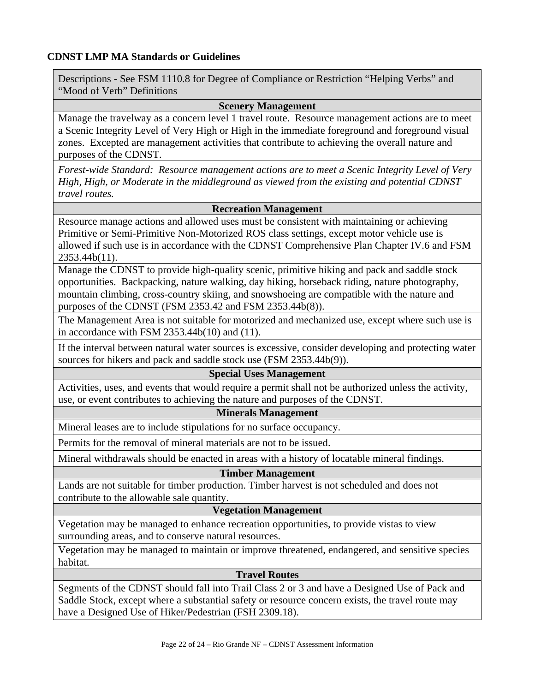### **CDNST LMP MA Standards or Guidelines**

Descriptions - See FSM 1110.8 for Degree of Compliance or Restriction "Helping Verbs" and "Mood of Verb" Definitions

#### **Scenery Management**

Manage the travelway as a concern level 1 travel route. Resource management actions are to meet a Scenic Integrity Level of Very High or High in the immediate foreground and foreground visual zones. Excepted are management activities that contribute to achieving the overall nature and purposes of the CDNST.

*Forest-wide Standard: Resource management actions are to meet a Scenic Integrity Level of Very High, High, or Moderate in the middleground as viewed from the existing and potential CDNST travel routes.*

#### **Recreation Management**

Resource manage actions and allowed uses must be consistent with maintaining or achieving Primitive or Semi-Primitive Non-Motorized ROS class settings, except motor vehicle use is allowed if such use is in accordance with the CDNST Comprehensive Plan Chapter IV.6 and FSM 2353.44b(11).

Manage the CDNST to provide high-quality scenic, primitive hiking and pack and saddle stock opportunities. Backpacking, nature walking, day hiking, horseback riding, nature photography, mountain climbing, cross-country skiing, and snowshoeing are compatible with the nature and purposes of the CDNST (FSM 2353.42 and FSM 2353.44b(8)).

The Management Area is not suitable for motorized and mechanized use, except where such use is in accordance with FSM 2353.44b(10) and (11).

If the interval between natural water sources is excessive, consider developing and protecting water sources for hikers and pack and saddle stock use (FSM 2353.44b(9)).

#### **Special Uses Management**

Activities, uses, and events that would require a permit shall not be authorized unless the activity, use, or event contributes to achieving the nature and purposes of the CDNST.

#### **Minerals Management**

Mineral leases are to include stipulations for no surface occupancy.

Permits for the removal of mineral materials are not to be issued.

Mineral withdrawals should be enacted in areas with a history of locatable mineral findings.

#### **Timber Management**

Lands are not suitable for timber production. Timber harvest is not scheduled and does not contribute to the allowable sale quantity.

### **Vegetation Management**

Vegetation may be managed to enhance recreation opportunities, to provide vistas to view surrounding areas, and to conserve natural resources.

Vegetation may be managed to maintain or improve threatened, endangered, and sensitive species habitat.

### **Travel Routes**

Segments of the CDNST should fall into Trail Class 2 or 3 and have a Designed Use of Pack and Saddle Stock, except where a substantial safety or resource concern exists, the travel route may have a Designed Use of Hiker/Pedestrian (FSH 2309.18).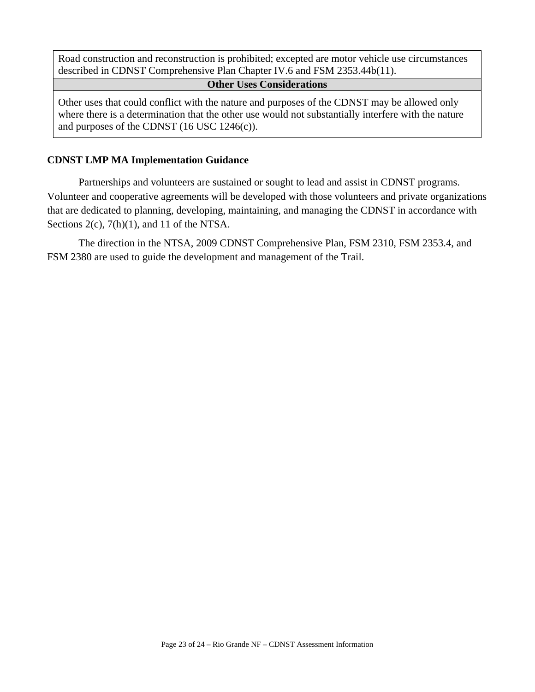Road construction and reconstruction is prohibited; excepted are motor vehicle use circumstances described in CDNST Comprehensive Plan Chapter IV.6 and FSM 2353.44b(11).

#### **Other Uses Considerations**

Other uses that could conflict with the nature and purposes of the CDNST may be allowed only where there is a determination that the other use would not substantially interfere with the nature and purposes of the CDNST (16 USC 1246(c)).

#### **CDNST LMP MA Implementation Guidance**

Partnerships and volunteers are sustained or sought to lead and assist in CDNST programs. Volunteer and cooperative agreements will be developed with those volunteers and private organizations that are dedicated to planning, developing, maintaining, and managing the CDNST in accordance with Sections 2(c), 7(h)(1), and 11 of the NTSA.

The direction in the NTSA, 2009 CDNST Comprehensive Plan, FSM 2310, FSM 2353.4, and FSM 2380 are used to guide the development and management of the Trail.